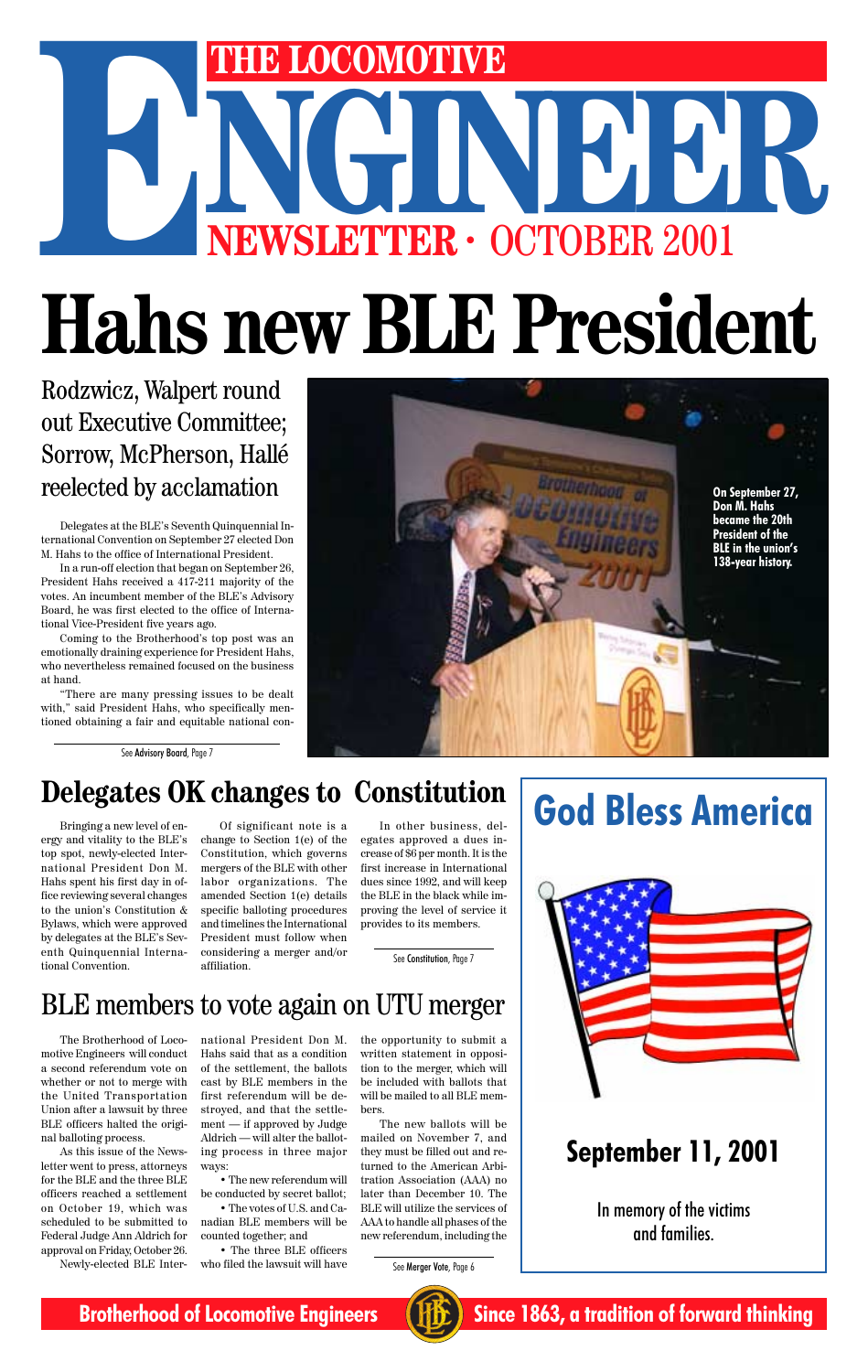Delegates at the BLE's Seventh Quinquennial International Convention on September 27 elected Don M. Hahs to the office of International President.

In a run-off election that began on September 26, President Hahs received a 417-211 majority of the votes. An incumbent member of the BLE's Advisory Board, he was first elected to the office of International Vice-President five years ago.

# NGINEER OCTOBER 2001 **THE LOCOMOTIVE**<br>
NEWSLETTER · OCTOBER 2001 **Hahs new BLE President**

Coming to the Brotherhood's top post was an emotionally draining experience for President Hahs, who nevertheless remained focused on the business at hand.

"There are many pressing issues to be dealt with," said President Hahs, who specifically mentioned obtaining a fair and equitable national con-

Rodzwicz, Walpert round out Executive Committee; Sorrow, McPherson, Hallé reelected by acclamation

# **Delegates OK changes to Constitution**

Bringing a new level of energy and vitality to the BLE's top spot, newly-elected International President Don M. Hahs spent his first day in office reviewing several changes to the union's Constitution & Bylaws, which were approved by delegates at the BLE's Seventh Quinquennial International Convention.

Of significant note is a change to Section 1(e) of the Constitution, which governs mergers of the BLE with other labor organizations. The amended Section 1(e) details specific balloting procedures and timelines the International President must follow when considering a merger and/or affiliation.

In other business, delegates approved a dues increase of \$6 per month. It is the first increase in International dues since 1992, and will keep the BLE in the black while improving the level of service it provides to its members.

BLE members to vote again on UTU merger



**God Bless America**



### In memory of the victims and families.



**Brotherhood of Locomotive Engineers (HE)** Since 1863, a tradition of forward thinking

# **September 11, 2001**

The Brotherhood of Locomotive Engineers will conduct a second referendum vote on whether or not to merge with the United Transportation Union after a lawsuit by three BLE officers halted the original balloting process.

As this issue of the Newsletter went to press, attorneys for the BLE and the three BLE officers reached a settlement on October 19, which was scheduled to be submitted to Federal Judge Ann Aldrich for approval on Friday, October 26. Newly-elected BLE International President Don M. Hahs said that as a condition of the settlement, the ballots cast by BLE members in the first referendum will be destroyed, and that the settlement — if approved by Judge Aldrich — will alter the balloting process in three major ways:

• The new referendum will be conducted by secret ballot;

• The votes of U.S. and Canadian BLE members will be counted together; and

• The three BLE officers who filed the lawsuit will have

the opportunity to submit a written statement in opposition to the merger, which will be included with ballots that will be mailed to all BLE members.

The new ballots will be mailed on November 7, and they must be filled out and returned to the American Arbitration Association (AAA) no later than December 10. The BLE will utilize the services of AAA to handle all phases of the new referendum, including the

See Merger Vote, Page 6

See Advisory Board, Page 7

See Constitution, Page 7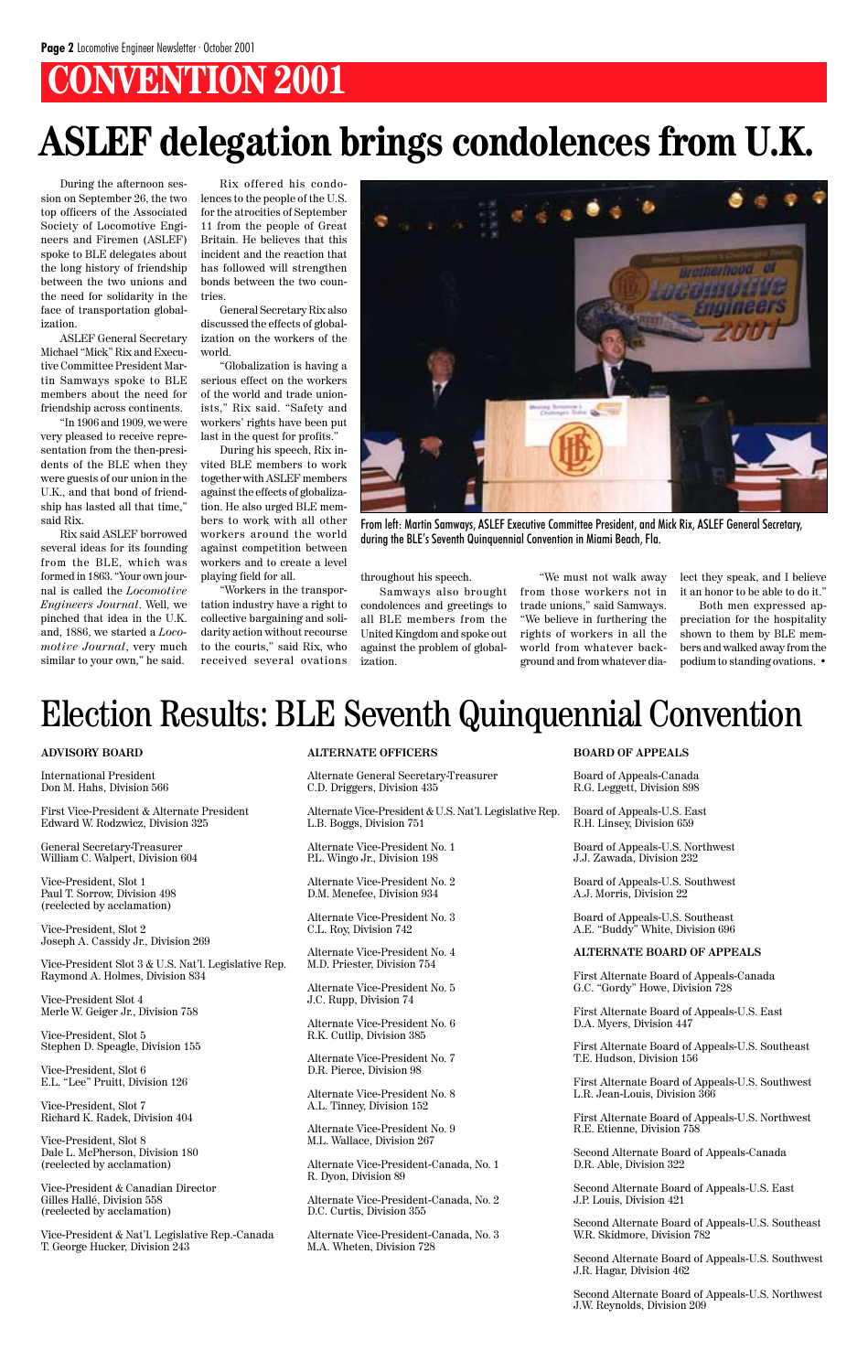# **CONVENTION 2001**

During the afternoon session on September 26, the two top officers of the Associated Society of Locomotive Engineers and Firemen (ASLEF) spoke to BLE delegates about the long history of friendship between the two unions and the need for solidarity in the face of transportation globalization.

ASLEF General Secretary Michael "Mick" Rix and Executive Committee President Martin Samways spoke to BLE members about the need for friendship across continents.

"In 1906 and 1909, we were very pleased to receive representation from the then-presidents of the BLE when they were guests of our union in the U.K., and that bond of friendship has lasted all that time," said Rix.

Rix said ASLEF borrowed several ideas for its founding from the BLE, which was formed in 1863. "Your own journal is called the *Locomotive Engineers Journal*. Well, we pinched that idea in the U.K. and, 1886, we started a *Locomotive Journal*, very much similar to your own," he said.

Rix offered his condolences to the people of the U.S. for the atrocities of September 11 from the people of Great Britain. He believes that this incident and the reaction that has followed will strengthen bonds between the two countries.

General Secretary Rix also discussed the effects of globalization on the workers of the world.

"Globalization is having a serious effect on the workers of the world and trade unionists," Rix said. "Safety and workers' rights have been put last in the quest for profits."

During his speech, Rix invited BLE members to work together with ASLEF members against the effects of globalization. He also urged BLE members to work with all other workers around the world against competition between workers and to create a level playing field for all.

"Workers in the transportation industry have a right to collective bargaining and solidarity action without recourse to the courts," said Rix, who received several ovations

# **ASLEF delegation brings condolences from U.K.**

throughout his speech.

Samways also brought condolences and greetings to all BLE members from the United Kingdom and spoke out against the problem of globalization.

"We must not walk away from those workers not in trade unions," said Samways. "We believe in furthering the rights of workers in all the world from whatever background and from whatever dialect they speak, and I believe it an honor to be able to do it."

Both men expressed appreciation for the hospitality shown to them by BLE members and walked away from the podium to standing ovations. •



From left: Martin Samways, ASLEF Executive Committee President, and Mick Rix, ASLEF General Secretary, during the BLE's Seventh Quinquennial Convention in Miami Beach, Fla.

# Election Results: BLE Seventh Quinquennial Convention

#### **ADVISORY BOARD**

International President Don M. Hahs, Division 566

First Vice-President & Alternate President Edward W. Rodzwicz, Division 325

General Secretary-Treasurer William C. Walpert, Division 604

Vice-President, Slot 1 Paul T. Sorrow, Division 498 (reelected by acclamation)

Vice-President, Slot 2 Joseph A. Cassidy Jr., Division 269

Vice-President Slot 3 & U.S. Nat'l. Legislative Rep. Raymond A. Holmes, Division 834

Vice-President Slot 4

Merle W. Geiger Jr., Division 758

Vice-President, Slot 5 Stephen D. Speagle, Division 155

Vice-President, Slot 6 E.L. "Lee" Pruitt, Division 126

Vice-President, Slot 7 Richard K. Radek, Division 404

Vice-President, Slot 8 Dale L. McPherson, Division 180 (reelected by acclamation)

Vice-President & Canadian Director Gilles Hallé, Division 558 (reelected by acclamation)

Vice-President & Nat'l. Legislative Rep.-Canada T. George Hucker, Division 243

### **ALTERNATE OFFICERS**

Alternate General Secretary-Treasurer C.D. Driggers, Division 435

Alternate Vice-President & U.S. Nat'l. Legislative Rep. L.B. Boggs, Division 751

Alternate Vice-President No. 1 P.L. Wingo Jr., Division 198

Alternate Vice-President No. 2 D.M. Menefee, Division 934

Alternate Vice-President No. 3 C.L. Roy, Division 742

Alternate Vice-President No. 4 M.D. Priester, Division 754

Alternate Vice-President No. 5 J.C. Rupp, Division 74

Alternate Vice-President No. 6 R.K. Cutlip, Division 385

Alternate Vice-President No. 7 D.R. Pierce, Division 98

Alternate Vice-President No. 8 A.L. Tinney, Division 152

Alternate Vice-President No. 9 M.L. Wallace, Division 267

Alternate Vice-President-Canada, No. 1 R. Dyon, Division 89

Alternate Vice-President-Canada, No. 2 D.C. Curtis, Division 355

Alternate Vice-President-Canada, No. 3 M.A. Wheten, Division 728

#### **BOARD OF APPEALS**

Board of Appeals-Canada R.G. Leggett, Division 898

Board of Appeals-U.S. East R.H. Linsey, Division 659

Board of Appeals-U.S. Northwest J.J. Zawada, Division 232

Board of Appeals-U.S. Southwest A.J. Morris, Division 22

Board of Appeals-U.S. Southeast A.E. "Buddy" White, Division 696

#### **ALTERNATE BOARD OF APPEALS**

First Alternate Board of Appeals-Canada G.C. "Gordy" Howe, Division 728

First Alternate Board of Appeals-U.S. East D.A. Myers, Division 447

First Alternate Board of Appeals-U.S. Southeast T.E. Hudson, Division 156

First Alternate Board of Appeals-U.S. Southwest L.R. Jean-Louis, Division 366

First Alternate Board of Appeals-U.S. Northwest R.E. Etienne, Division 758

Second Alternate Board of Appeals-Canada D.R. Able, Division 322

Second Alternate Board of Appeals-U.S. East J.P. Louis, Division 421

Second Alternate Board of Appeals-U.S. Southeast W.R. Skidmore, Division 782

Second Alternate Board of Appeals-U.S. Southwest J.R. Hagar, Division 462

Second Alternate Board of Appeals-U.S. Northwest J.W. Reynolds, Division 209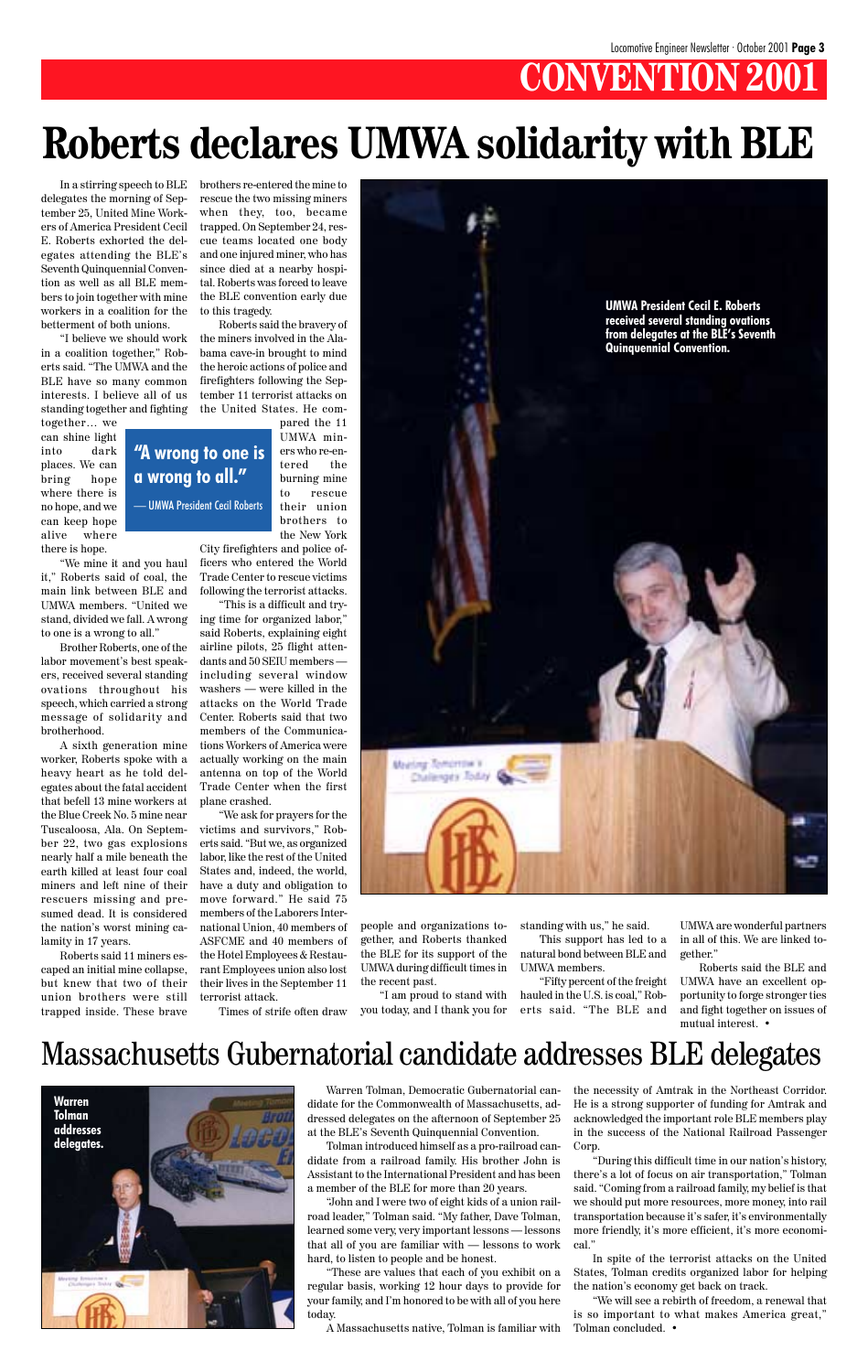# **CONVENTION 2001**

In a stirring speech to BLE delegates the morning of September 25, United Mine Workers of America President Cecil E. Roberts exhorted the delegates attending the BLE's Seventh Quinquennial Convention as well as all BLE members to join together with mine workers in a coalition for the betterment of both unions.

"I believe we should work in a coalition together," Roberts said. "The UMWA and the BLE have so many common interests. I believe all of us standing together and fighting

together… we can shine light into dark places. We can bring hope where there is no hope, and we can keep hope alive where there is hope.

"We mine it and you haul it," Roberts said of coal, the main link between BLE and UMWA members. "United we stand, divided we fall. A wrong to one is a wrong to all."

trapped inside. These brave terrorist attack. Times of strife often draw you today, and I thank you for erts said. "The BLE and and fight together on issues of "I am proud to stand with mutual interest. <br>  $\bullet$ 

Brother Roberts, one of the labor movement's best speakers, received several standing ovations throughout his speech, which carried a strong message of solidarity and brotherhood.

A sixth generation mine worker, Roberts spoke with a heavy heart as he told delegates about the fatal accident that befell 13 mine workers at the Blue Creek No. 5 mine near Tuscaloosa, Ala. On September 22, two gas explosions nearly half a mile beneath the earth killed at least four coal miners and left nine of their rescuers missing and presumed dead. It is considered the nation's worst mining calamity in 17 years.

Roberts said 11 miners escaped an initial mine collapse, but knew that two of their union brothers were still brothers re-entered the mine to rescue the two missing miners when they, too, became trapped. On September 24, rescue teams located one body and one injured miner, who has since died at a nearby hospital. Roberts was forced to leave the BLE convention early due to this tragedy.

Roberts said the bravery of the miners involved in the Alabama cave-in brought to mind the heroic actions of police and firefighters following the September 11 terrorist attacks on the United States. He compared the 11

> UMWA miners who re-entered the burning mine to rescue their union brothers to

the New York City firefighters and police officers who entered the World Trade Center to rescue victims following the terrorist attacks.

"This is a difficult and trying time for organized labor," said Roberts, explaining eight airline pilots, 25 flight attendants and 50 SEIU members including several window washers — were killed in the attacks on the World Trade Center. Roberts said that two members of the Communications Workers of America were actually working on the main antenna on top of the World Trade Center when the first plane crashed.

"We ask for prayers for the victims and survivors," Roberts said. "But we, as organized labor, like the rest of the United States and, indeed, the world, have a duty and obligation to move forward." He said 75 members of the Laborers International Union, 40 members of ASFCME and 40 members of the Hotel Employees & Restaurant Employees union also lost their lives in the September 11



# **Roberts declares UMWA solidarity with BLE**

Warren Tolman, Democratic Gubernatorial candidate for the Commonwealth of Massachusetts, addressed delegates on the afternoon of September 25 at the BLE's Seventh Quinquennial Convention.

Tolman introduced himself as a pro-railroad candidate from a railroad family. His brother John is Assistant to the International President and has been a member of the BLE for more than 20 years.

"John and I were two of eight kids of a union railroad leader," Tolman said. "My father, Dave Tolman, learned some very, very important lessons — lessons that all of you are familiar with — lessons to work hard, to listen to people and be honest.

"These are values that each of you exhibit on a regular basis, working 12 hour days to provide for your family, and I'm honored to be with all of you here today.

A Massachusetts native, Tolman is familiar with

the necessity of Amtrak in the Northeast Corridor. He is a strong supporter of funding for Amtrak and acknowledged the important role BLE members play in the success of the National Railroad Passenger Corp.

"During this difficult time in our nation's history, there's a lot of focus on air transportation," Tolman said. "Coming from a railroad family, my belief is that we should put more resources, more money, into rail transportation because it's safer, it's environmentally more friendly, it's more efficient, it's more economical."

In spite of the terrorist attacks on the United States, Tolman credits organized labor for helping the nation's economy get back on track.

"We will see a rebirth of freedom, a renewal that is so important to what makes America great," Tolman concluded. •

# Massachusetts Gubernatorial candidate addresses BLE delegates

people and organizations together, and Roberts thanked the BLE for its support of the UMWA during difficult times in the recent past.

standing with us," he said. This support has led to a natural bond between BLE and UMWA members.

"Fifty percent of the freight hauled in the U.S. is coal," Rob-

UMWA are wonderful partners in all of this. We are linked together."

Roberts said the BLE and UMWA have an excellent opportunity to forge stronger ties

**"A wrong to one is a wrong to all."**

— UMWA President Cecil Roberts

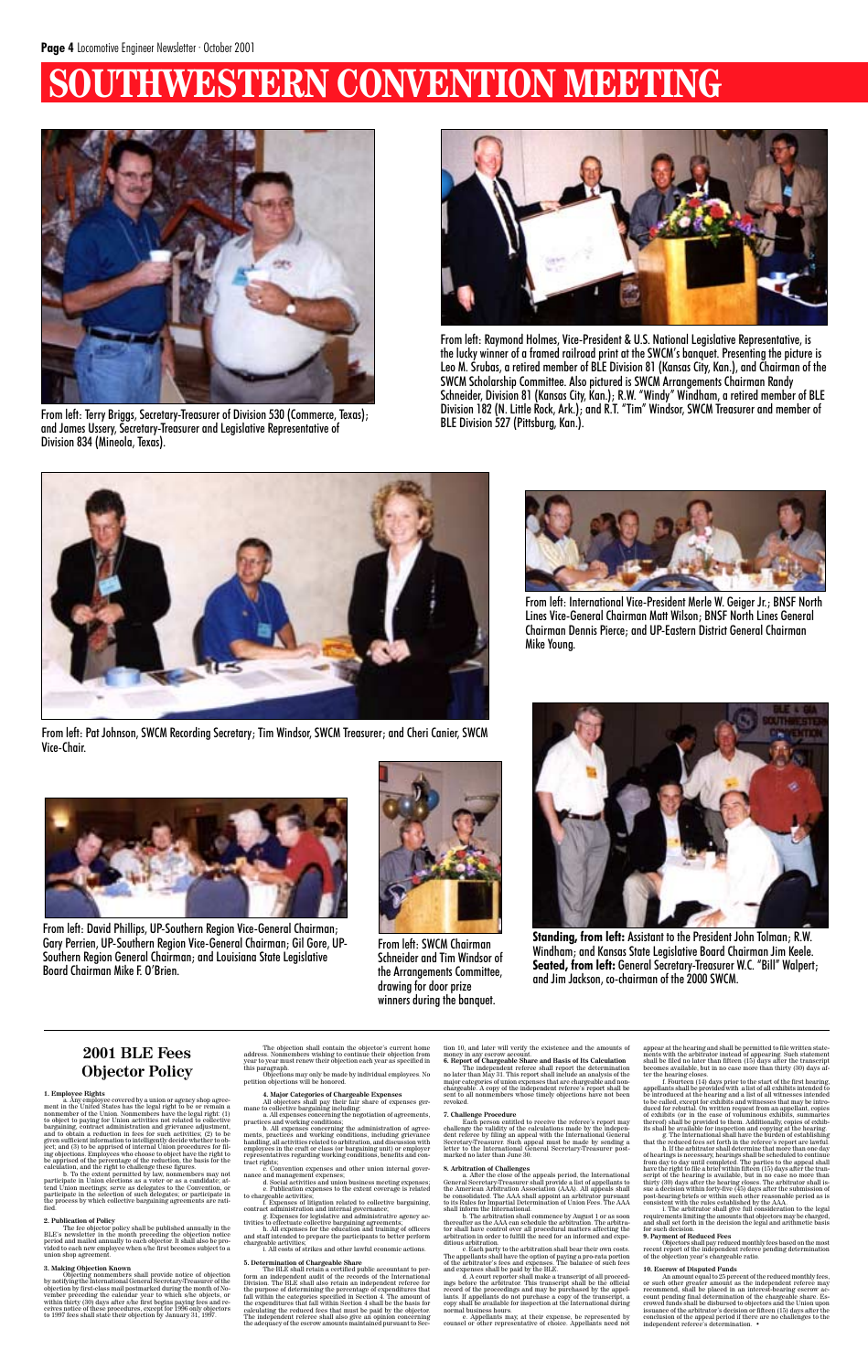# **SERN CONVENTION MEET**



From left: Raymond Holmes, Vice-President & U.S. National Legislative Representative, is the lucky winner of a framed railroad print at the SWCM's banquet. Presenting the picture is Leo M. Srubas, a retired member of BLE Division 81 (Kansas City, Kan.), and Chairman of the SWCM Scholarship Committee. Also pictured is SWCM Arrangements Chairman Randy Schneider, Division 81 (Kansas City, Kan.); R.W. "Windy" Windham, a retired member of BLE Division 182 (N. Little Rock, Ark.); and R.T. "Tim" Windsor, SWCM Treasurer and member of



BLE Division 527 (Pittsburg, Kan.). From left: Terry Briggs, Secretary-Treasurer of Division 530 (Commerce, Texas); and James Ussery, Secretary-Treasurer and Legislative Representative of Division 834 (Mineola, Texas).



From left: International Vice-President Merle W. Geiger Jr.; BNSF North Lines Vice-General Chairman Matt Wilson; BNSF North Lines General Chairman Dennis Pierce; and UP-Eastern District General Chairman Mike Young.

a Any employee covered by a union or agency shop agreement in the United States has the legal right to be or remain a nonmember of the Union. Nonmembers have the legal right: (1) to object to paying for Union activities no bargaining, contract administration and grievance adjustment, and to obtain a reduction in fees for such activities; (2) to be

given sufficient information to intelligently decide whether to ob-<br>ject; and (3) to be apprised of internal Union procedures for fill-<br>ing objections. Employees who choose to object have the right to<br>be apprised of the p



From left: SWCM Chairman Schneider and Tim Windsor of the Arrangements Committee, drawing for door prize winners during the banquet.



From left: Pat Johnson, SWCM Recording Secretary; Tim Windsor, SWCM Treasurer; and Cheri Canier, SWCM Vice-Chair.



From left: David Phillips, UP-Southern Region Vice-General Chairman; Gary Perrien, UP-Southern Region Vice-General Chairman; Gil Gore, UP-Southern Region General Chairman; and Louisiana State Legislative Board Chairman Mike F. O'Brien.

The fee objector policy shall be published annually in the BLE's newsletter in the month preceding the objection notice<br>period and mailed annually to each objector it shall also be pro-<br>vided to each new employee when s/he union shop agreement.



**Standing, from left:** Assistant to the President John Tolman; R.W. Windham; and Kansas State Legislative Board Chairman Jim Keele. **Seated, from left:** General Secretary-Treasurer W.C. "Bill" Walpert; and Jim Jackson, co-chairman of the 2000 SWCM.

### **2001 BLE Fees Objector Policy**

#### **1. Employee Rights**

#### **2. Publication of Policy**

The independent referee shall report the determination<br>no later than May 31. This report shall include an analysis of the no later than May 31. This report shall include an analysis of the<br>major categories of union expenses that are chargeable and non-<br>chargeable. A copy of the independent referee's report shall be<br>sent to all nonmembers whos revoked.

#### **3. Making Objection Known**

Objecting nonmenbers shall provide note<br>ice of objection profitying the International General Sceretary.<br>Treasurer of the objection by first-class mail postmarked during the month of No-<br>vember preceding the calendar year

Each person entitled to receive the referee's report may<br>challenge the validity of the calculations made by the independent referee by filing an appeal with the International General<br>Secretary-Treasurer. Such appeal must b marked no later than June 30.

The objection shall contain the objector's current home address. Nonmembers wishing to continue their objection from year to year must renew their objection each year as specified in this paragraph. Objections may only be made by individual employees. No

petition objections will be honored.

4. Major Categories of Chargeable Expenses<br>All objectors shall pay their fair share of expenses germane to collective bargaining including<br>name to collective bargaining including<br>names concerning the negotiation of agreeme

b. All expenses concerning the administration of agree-ments, practices and working conditions, including grievance handling, all activities related to arbitration, and discussion with employees in the craft or class (or bargaining unit) or employer representatives regarding working conditions, benefits and contract rights;

of hearings is necessary, hearings shall be scheduled to continue from day to day until completed. The parties to the appeal shall have the right to file a brief within fifteen (15) days after the transcript of the hearing is available, but in no case no more than<br>thirty (30) days after the hearing closes. The arbitrator shall is-<br>sue a decision within forty-five (45) days after the submission of<br>post-hearing briefs or

consistent with the rules established by the AAA.<br>i. The arbitrator shall give full consideration to the legal<br>requirements limiting the amounts that objectors may be charged,<br>and shall set forth in the decision the legal for such decision

c. Convention expenses and other union internal gover-

nance and management expenses; d. Social activities and union business meeting expenses; e. Publication expenses to the extent coverage is related

to chargeable activities; f. Expenses of litigation related to collective bargaining,

contract administration and internal governance;<br>g . Expenses for legislative and administrative agency ac-<br>tivities to effectuate collective bargaining agreements;<br>h. All expenses for the education and training of officer chargeable activities

i. All costs of strikes and other lawful economic actions.

5. Determination of Chargeable Share<br>
The BLE shall retain a certified public accountant to perform an independent audit of the records of the International<br>
Division. The BLE shall abor relation an independent referee fo

10. Escrow of Disputed Funds<br>comparison and the sector of the reduced monthly fees, or such other greater amount as the independent referee may<br>recommend, shall be placed in an interest-bearing escrow account pending fina conclusion of the appeal period if there are no challenges to the independent referee's determination. •

tion 10, and later will verify the existence and the amounts of

money in any escrow account. **6. Report of Chargeable Share and Basis of Its Calculation**

#### **7. Challenge Procedure**

**8. Arbitration of Challenges** a. After the close of the appeals period, the International General Secretary-Treasurer shall provide a list of appellants to the American Arbitration Association (AAA). All appeals shall be consolidated. The AAA shall appoint an arbitrator pursuant to its Rules for Impartial Determination of Union Fees. The AAA shall inform the International.

b. The arbitration shall commence by August 1 or as soon thereafter as the AAA can schedule the arbitration. The arbitrator shall have control over all procedural matters affecting the arbitration in order to fulfill the need for an informed and expe-

ditious arbitration.<br>
c. Each party to the arbitration shall bear their own costs.<br>
The appellants shall have the option of paying a pro-rata portion<br>
of the arbitrator's fees and expenses. The balance of such fees<br>
and ex

ings before the arbitrator. This transcript shall be the official<br>record of the proceedings and may be purchased by the appel-<br>lants. If appellants do not purchase a copy of the transcript, a<br>lants. If appellants do not pu

e. Appellants may, at their expense, be represented by counsel or other representative of choice. Appellants need not

appear at the hearing and shall be permitted to file written statements with the arbitrator instead of appearing. Such statement shall be filed no later than fifteen (15) days after the transcript becomes available, but in no case more than thirty (30) days af-

ter the hearing closes.<br>
the there in the start of the first hearing copeses  $f$ . Fourteen (14) days prior to the start of the first hearing appellants shall be provided with a list of all exhibits intended to to be calle

#### **9. Payment of Reduced Fees**

Objectors shall pay reduced monthly fees based on the most recent report of the independent referee pending determination of the objection year's chargeable ratio.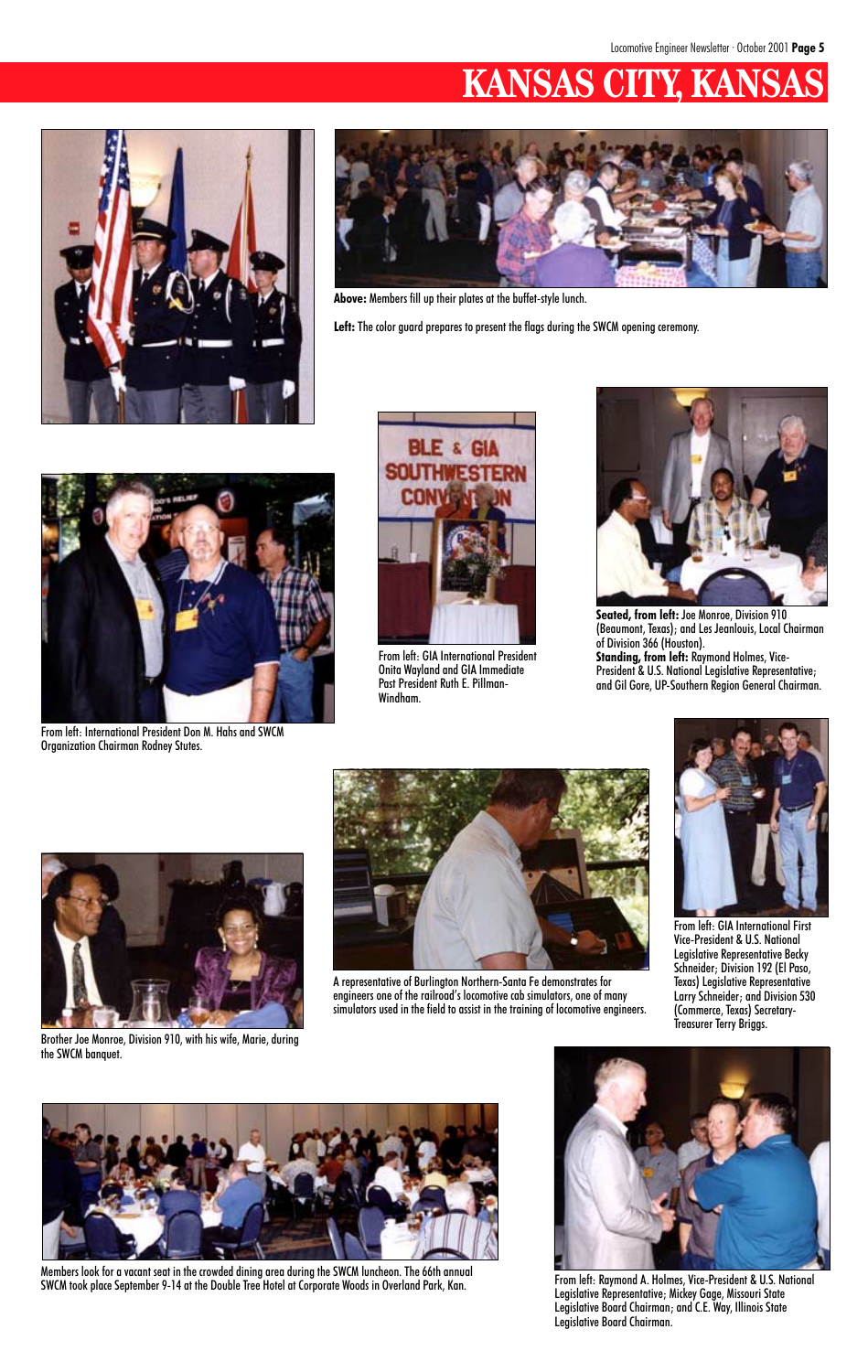# **KANSAS CITY, KA**





**Above:** Members fill up their plates at the buffet-style lunch.

Left: The color guard prepares to present the flags during the SWCM opening ceremony.

Members look for a vacant seat in the crowded dining area during the SWCM luncheon. The 66th annual SWCM took place September 9-14 at the Double Tree Hotel at Corporate Woods in Overland Park, Kan.



From left: International President Don M. Hahs and SWCM Organization Chairman Rodney Stutes.



From left: GIA International President Onita Wayland and GIA Immediate Past President Ruth E. Pillman-Windham.



**Seated, from left:** Joe Monroe, Division 910 (Beaumont, Texas); and Les Jeanlouis, Local Chairman of Division 366 (Houston). **Standing, from left:** Raymond Holmes, Vice-President & U.S. National Legislative Representative; and Gil Gore, UP-Southern Region General Chairman.



Brother Joe Monroe, Division 910, with his wife, Marie, during the SWCM banquet.





A representative of Burlington Northern-Santa Fe demonstrates for engineers one of the railroad's locomotive cab simulators, one of many

simulators used in the field to assist in the training of locomotive engineers.



From left: GIA International First Vice-President & U.S. National Legislative Representative Becky Schneider; Division 192 (El Paso, Texas) Legislative Representative Larry Schneider; and Division 530



(Commerce, Texas) Secretary-Treasurer Terry Briggs.



From left: Raymond A. Holmes, Vice-President & U.S. National Legislative Representative; Mickey Gage, Missouri State Legislative Board Chairman; and C.E. Way, Illinois State Legislative Board Chairman.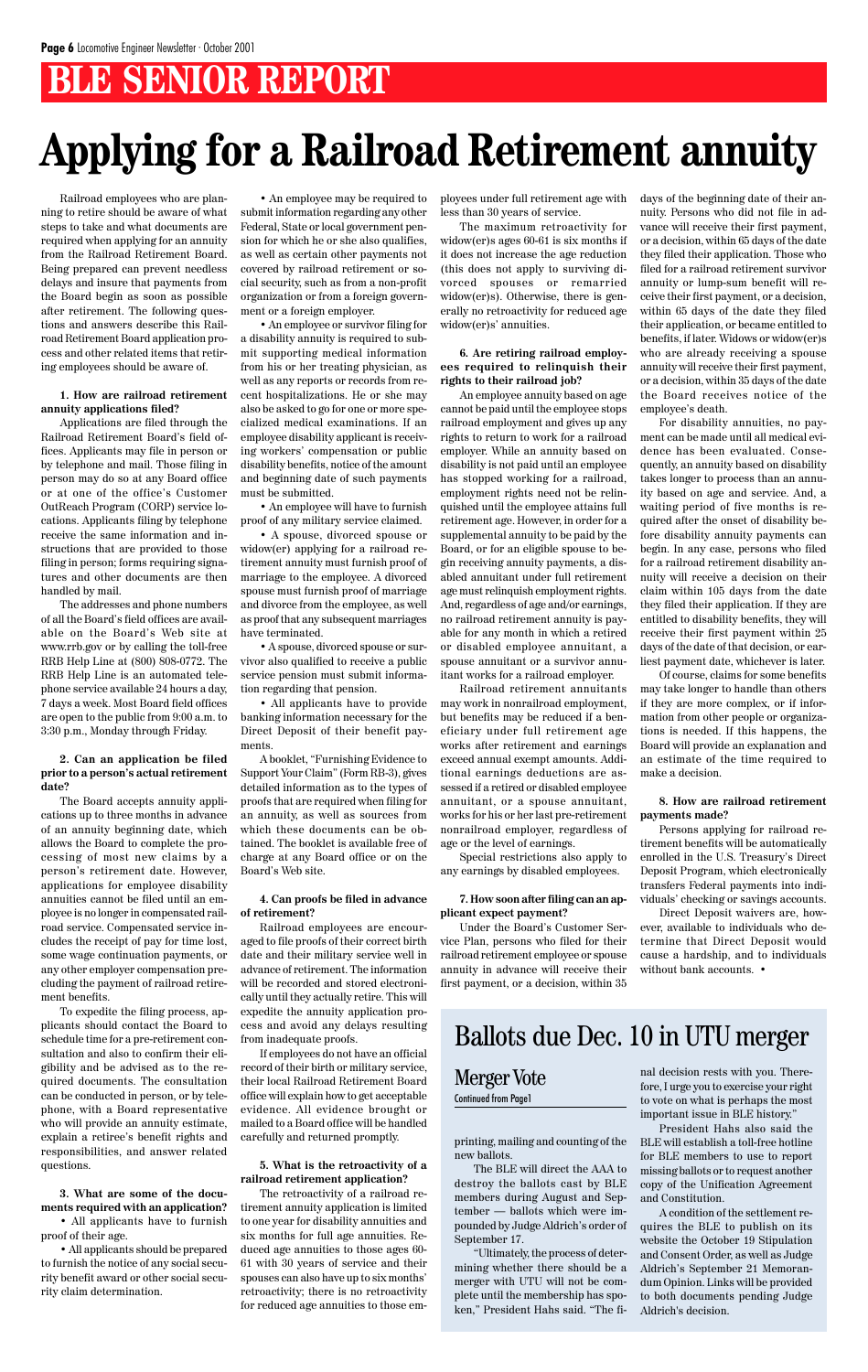# **BLE SENIOR REPORT**

Railroad employees who are planning to retire should be aware of what steps to take and what documents are required when applying for an annuity from the Railroad Retirement Board. Being prepared can prevent needless delays and insure that payments from the Board begin as soon as possible after retirement. The following questions and answers describe this Railroad Retirement Board application process and other related items that retiring employees should be aware of.

#### **1. How are railroad retirement annuity applications filed?**

Applications are filed through the Railroad Retirement Board's field offices. Applicants may file in person or by telephone and mail. Those filing in person may do so at any Board office or at one of the office's Customer OutReach Program (CORP) service locations. Applicants filing by telephone receive the same information and instructions that are provided to those filing in person; forms requiring signatures and other documents are then handled by mail.

The addresses and phone numbers of all the Board's field offices are available on the Board's Web site at www.rrb.gov or by calling the toll-free RRB Help Line at (800) 808-0772. The RRB Help Line is an automated telephone service available 24 hours a day, 7 days a week. Most Board field offices are open to the public from 9:00 a.m. to 3:30 p.m., Monday through Friday.

#### **2. Can an application be filed prior to a person's actual retirement date?**

The Board accepts annuity applications up to three months in advance of an annuity beginning date, which allows the Board to complete the processing of most new claims by a person's retirement date. However, applications for employee disability annuities cannot be filed until an employee is no longer in compensated railroad service. Compensated service includes the receipt of pay for time lost, some wage continuation payments, or any other employer compensation precluding the payment of railroad retirement benefits. To expedite the filing process, applicants should contact the Board to schedule time for a pre-retirement consultation and also to confirm their eligibility and be advised as to the required documents. The consultation can be conducted in person, or by telephone, with a Board representative who will provide an annuity estimate, explain a retiree's benefit rights and responsibilities, and answer related questions.

**3. What are some of the documents required with an application?**

• All applicants have to furnish proof of their age.

• All applicants should be prepared to furnish the notice of any social security benefit award or other social security claim determination.

• An employee may be required to submit information regarding any other Federal, State or local government pension for which he or she also qualifies, as well as certain other payments not covered by railroad retirement or social security, such as from a non-profit organization or from a foreign government or a foreign employer.

• An employee or survivor filing for a disability annuity is required to submit supporting medical information from his or her treating physician, as well as any reports or records from recent hospitalizations. He or she may also be asked to go for one or more specialized medical examinations. If an employee disability applicant is receiving workers' compensation or public disability benefits, notice of the amount and beginning date of such payments must be submitted.

• An employee will have to furnish proof of any military service claimed.

• A spouse, divorced spouse or widow(er) applying for a railroad retirement annuity must furnish proof of marriage to the employee. A divorced spouse must furnish proof of marriage and divorce from the employee, as well as proof that any subsequent marriages have terminated.

• A spouse, divorced spouse or survivor also qualified to receive a public service pension must submit information regarding that pension.

• All applicants have to provide banking information necessary for the Direct Deposit of their benefit payments.

A booklet, "Furnishing Evidence to Support Your Claim" (Form RB-3), gives detailed information as to the types of proofs that are required when filing for an annuity, as well as sources from which these documents can be obtained. The booklet is available free of charge at any Board office or on the Board's Web site.

#### **4. Can proofs be filed in advance of retirement?**

Railroad employees are encouraged to file proofs of their correct birth date and their military service well in advance of retirement. The information will be recorded and stored electronically until they actually retire. This will expedite the annuity application process and avoid any delays resulting from inadequate proofs. If employees do not have an official record of their birth or military service, their local Railroad Retirement Board office will explain how to get acceptable evidence. All evidence brought or mailed to a Board office will be handled carefully and returned promptly.

#### **5. What is the retroactivity of a railroad retirement application?**

The retroactivity of a railroad retirement annuity application is limited to one year for disability annuities and six months for full age annuities. Reduced age annuities to those ages 60- 61 with 30 years of service and their spouses can also have up to six months' retroactivity; there is no retroactivity for reduced age annuities to those employees under full retirement age with less than 30 years of service.

The maximum retroactivity for widow(er)s ages 60-61 is six months if it does not increase the age reduction (this does not apply to surviving divorced spouses or remarried widow(er)s). Otherwise, there is generally no retroactivity for reduced age widow(er)s' annuities.

#### **6. Are retiring railroad employees required to relinquish their rights to their railroad job?**

An employee annuity based on age cannot be paid until the employee stops railroad employment and gives up any rights to return to work for a railroad employer. While an annuity based on disability is not paid until an employee has stopped working for a railroad, employment rights need not be relinquished until the employee attains full retirement age. However, in order for a supplemental annuity to be paid by the Board, or for an eligible spouse to begin receiving annuity payments, a disabled annuitant under full retirement age must relinquish employment rights. And, regardless of age and/or earnings, no railroad retirement annuity is payable for any month in which a retired or disabled employee annuitant, a spouse annuitant or a survivor annuitant works for a railroad employer.

Railroad retirement annuitants may work in nonrailroad employment, but benefits may be reduced if a beneficiary under full retirement age works after retirement and earnings exceed annual exempt amounts. Additional earnings deductions are assessed if a retired or disabled employee annuitant, or a spouse annuitant, works for his or her last pre-retirement nonrailroad employer, regardless of age or the level of earnings.

Special restrictions also apply to any earnings by disabled employees.

#### **7. How soon after filing can an applicant expect payment?**

Under the Board's Customer Service Plan, persons who filed for their railroad retirement employee or spouse annuity in advance will receive their first payment, or a decision, within 35 days of the beginning date of their annuity. Persons who did not file in advance will receive their first payment, or a decision, within 65 days of the date they filed their application. Those who filed for a railroad retirement survivor annuity or lump-sum benefit will receive their first payment, or a decision, within 65 days of the date they filed their application, or became entitled to benefits, if later. Widows or widow(er)s who are already receiving a spouse annuity will receive their first payment, or a decision, within 35 days of the date the Board receives notice of the employee's death.

For disability annuities, no payment can be made until all medical evidence has been evaluated. Consequently, an annuity based on disability takes longer to process than an annuity based on age and service. And, a waiting period of five months is required after the onset of disability before disability annuity payments can begin. In any case, persons who filed for a railroad retirement disability annuity will receive a decision on their claim within 105 days from the date they filed their application. If they are entitled to disability benefits, they will receive their first payment within 25 days of the date of that decision, or earliest payment date, whichever is later.

Of course, claims for some benefits may take longer to handle than others if they are more complex, or if information from other people or organizations is needed. If this happens, the Board will provide an explanation and an estimate of the time required to make a decision.

#### **8. How are railroad retirement payments made?**

Persons applying for railroad retirement benefits will be automatically enrolled in the U.S. Treasury's Direct Deposit Program, which electronically transfers Federal payments into individuals' checking or savings accounts.

Direct Deposit waivers are, however, available to individuals who determine that Direct Deposit would cause a hardship, and to individuals without bank accounts. •

# **Applying for a Railroad Retirement annuity**

printing, mailing and counting of the new ballots.

The BLE will direct the AAA to destroy the ballots cast by BLE members during August and September — ballots which were impounded by Judge Aldrich's order of September 17.

"Ultimately, the process of determining whether there should be a merger with UTU will not be complete until the membership has spoken," President Hahs said. "The final decision rests with you. Therefore, I urge you to exercise your right to vote on what is perhaps the most important issue in BLE history."

President Hahs also said the BLE will establish a toll-free hotline for BLE members to use to report missing ballots or to request another copy of the Unification Agreement and Constitution.

A condition of the settlement requires the BLE to publish on its website the October 19 Stipulation and Consent Order, as well as Judge Aldrich's September 21 Memorandum Opinion. Links will be provided to both documents pending Judge Aldrich's decision.

### Merger Vote Continued from Page1

# Ballots due Dec. 10 in UTU merger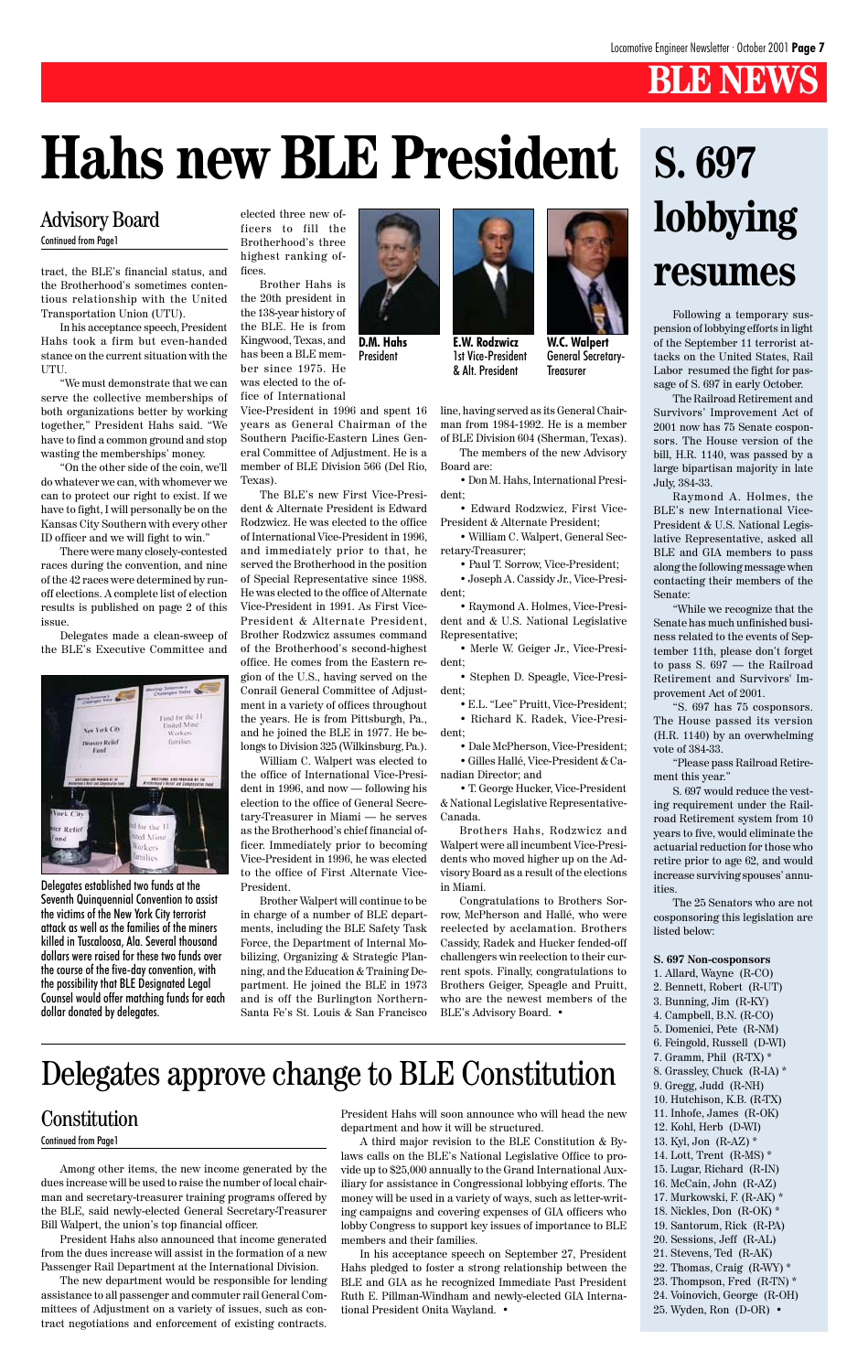# **BLE NEWS**

tract, the BLE's financial status, and the Brotherhood's sometimes contentious relationship with the United Transportation Union (UTU).

In his acceptance speech, President Hahs took a firm but even-handed stance on the current situation with the UTU.

"We must demonstrate that we can serve the collective memberships of both organizations better by working together," President Hahs said. "We have to find a common ground and stop wasting the memberships' money.

"On the other side of the coin, we'll do whatever we can, with whomever we can to protect our right to exist. If we have to fight, I will personally be on the Kansas City Southern with every other ID officer and we will fight to win."

There were many closely-contested races during the convention, and nine of the 42 races were determined by runoff elections. A complete list of election results is published on page 2 of this issue.

Delegates made a clean-sweep of the BLE's Executive Committee and



elected three new officers to fill the Brotherhood's three highest ranking offices.

Brother Hahs is the 20th president in the 138-year history of the BLE. He is from Kingwood, Texas, and has been a BLE member since 1975. He was elected to the of-

fice of International Vice-President in 1996 and spent 16 years as General Chairman of the Southern Pacific-Eastern Lines General Committee of Adjustment. He is a member of BLE Division 566 (Del Rio, Texas).

The BLE's new First Vice-President & Alternate President is Edward Rodzwicz. He was elected to the office of International Vice-President in 1996, and immediately prior to that, he served the Brotherhood in the position of Special Representative since 1988. He was elected to the office of Alternate Vice-President in 1991. As First Vice-President & Alternate President, Brother Rodzwicz assumes command of the Brotherhood's second-highest office. He comes from the Eastern region of the U.S., having served on the Conrail General Committee of Adjustment in a variety of offices throughout the years. He is from Pittsburgh, Pa., and he joined the BLE in 1977. He belongs to Division 325 (Wilkinsburg, Pa.).

William C. Walpert was elected to the office of International Vice-President in 1996, and now — following his election to the office of General Secretary-Treasurer in Miami — he serves as the Brotherhood's chief financial officer. Immediately prior to becoming Vice-President in 1996, he was elected to the office of First Alternate Vice-President.

Brother Walpert will continue to be in charge of a number of BLE departments, including the BLE Safety Task Force, the Department of Internal Mobilizing, Organizing & Strategic Planning, and the Education & Training Department. He joined the BLE in 1973 and is off the Burlington Northernline, having served as its General Chairman from 1984-1992. He is a member of BLE Division 604 (Sherman, Texas).

The members of the new Advisory Board are:

• Don M. Hahs, International President;

• Edward Rodzwicz, First Vice-President & Alternate President;

• William C. Walpert, General Secretary-Treasurer;

• Paul T. Sorrow, Vice-President;

• Joseph A. Cassidy Jr., Vice-President;

• Raymond A. Holmes, Vice-President and & U.S. National Legislative Representative;

• Merle W. Geiger Jr., Vice-President;

• Stephen D. Speagle, Vice-President;

**W.C. Walpert** General Secretary-**Treasurer** 

• E.L. "Lee" Pruitt, Vice-President; • Richard K. Radek, Vice-Presi-

dent;

• Dale McPherson, Vice-President; • Gilles Hallé, Vice-President & Canadian Director; and

• T. George Hucker, Vice-President & National Legislative Representative-Canada.

Brothers Hahs, Rodzwicz and Walpert were all incumbent Vice-Presidents who moved higher up on the Advisory Board as a result of the elections in Miami.

Congratulations to Brothers Sorrow, McPherson and Hallé, who were reelected by acclamation. Brothers Cassidy, Radek and Hucker fended-off challengers win reelection to their current spots. Finally, congratulations to Brothers Geiger, Speagle and Pruitt, who are the newest members of the

Among other items, the new income generated by the dues increase will be used to raise the number of local chairman and secretary-treasurer training programs offered by the BLE, said newly-elected General Secretary-Treasurer Bill Walpert, the union's top financial officer.

President Hahs also announced that income generated from the dues increase will assist in the formation of a new Passenger Rail Department at the International Division.

The new department would be responsible for lending assistance to all passenger and commuter rail General Committees of Adjustment on a variety of issues, such as contract negotiations and enforcement of existing contracts.

# **S. 697 lobbying resumes**

Following a temporary suspension of lobbying efforts in light of the September 11 terrorist attacks on the United States, Rail Labor resumed the fight for passage of S. 697 in early October.

The Railroad Retirement and Survivors' Improvement Act of 2001 now has 75 Senate cosponsors. The House version of the bill, H.R. 1140, was passed by a large bipartisan majority in late July, 384-33.

Raymond A. Holmes, the BLE's new International Vice-President & U.S. National Legislative Representative, asked all BLE and GIA members to pass along the following message when contacting their members of the Senate:

"While we recognize that the Senate has much unfinished business related to the events of September 11th, please don't forget to pass S. 697 — the Railroad Retirement and Survivors' Improvement Act of 2001.

"S. 697 has 75 cosponsors. The House passed its version (H.R. 1140) by an overwhelming vote of 384-33.

"Please pass Railroad Retirement this year."

S. 697 would reduce the vesting requirement under the Railroad Retirement system from 10 years to five, would eliminate the actuarial reduction for those who retire prior to age 62, and would increase surviving spouses' annuities.

The 25 Senators who are not cosponsoring this legislation are listed below:

#### **S. 697 Non-cosponsors**

- 1. Allard, Wayne (R-CO) 2. Bennett, Robert (R-UT)
- 3. Bunning, Jim (R-KY)
	-

4. Campbell, B.N. (R-CO) 5. Domenici, Pete (R-NM) 6. Feingold, Russell (D-WI) 7. Gramm, Phil (R-TX) \* 8. Grassley, Chuck (R-IA) \* 9. Gregg, Judd (R-NH) 10. Hutchison, K.B. (R-TX) 11. Inhofe, James (R-OK) 12. Kohl, Herb (D-WI) 13. Kyl, Jon (R-AZ) \* 14. Lott, Trent (R-MS) \* 15. Lugar, Richard (R-IN) 16. McCain, John (R-AZ) 17. Murkowski, F. (R-AK) \* 18. Nickles, Don (R-OK) \* 19. Santorum, Rick (R-PA) 20. Sessions, Jeff (R-AL) 21. Stevens, Ted (R-AK) 22. Thomas, Craig (R-WY) \* 23. Thompson, Fred (R-TN) \* 24. Voinovich, George (R-OH) 25. Wyden, Ron (D-OR) •

# **Hahs new BLE President**

# Advisory Board

Continued from Page1

**D.M. Hahs** President



**E.W. Rodzwicz** 1st Vice-President & Alt. President

President Hahs will soon announce who will head the new department and how it will be structured.

A third major revision to the BLE Constitution & Bylaws calls on the BLE's National Legislative Office to provide up to \$25,000 annually to the Grand International Auxiliary for assistance in Congressional lobbying efforts. The money will be used in a variety of ways, such as letter-writing campaigns and covering expenses of GIA officers who lobby Congress to support key issues of importance to BLE members and their families.

In his acceptance speech on September 27, President Hahs pledged to foster a strong relationship between the BLE and GIA as he recognized Immediate Past President Ruth E. Pillman-Windham and newly-elected GIA International President Onita Wayland. •

Continued from Page1

# Delegates approve change to BLE Constitution

## **Constitution**

Delegates established two funds at the Seventh Quinquennial Convention to assist the victims of the New York City terrorist attack as well as the families of the miners killed in Tuscaloosa, Ala. Several thousand dollars were raised for these two funds over the course of the five-day convention, with the possibility that BLE Designated Legal Counsel would offer matching funds for each